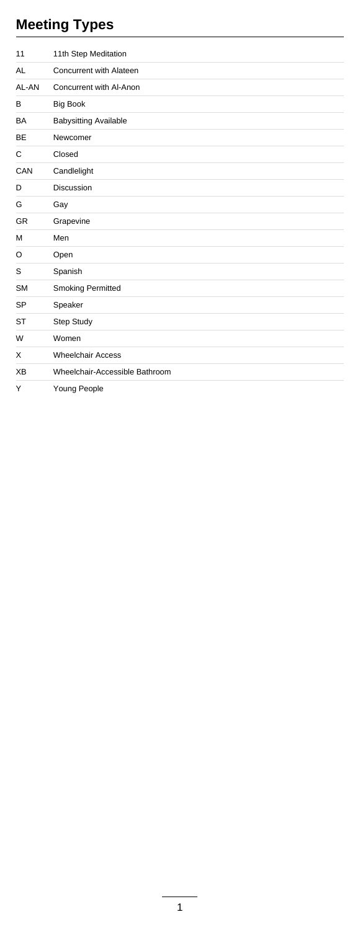# **Meeting Types**

| 11        | 11th Step Meditation           |
|-----------|--------------------------------|
| AL        | Concurrent with Alateen        |
| AL-AN     | Concurrent with Al-Anon        |
| в         | <b>Big Book</b>                |
| BA        | <b>Babysitting Available</b>   |
| BE        | Newcomer                       |
| C         | Closed                         |
| CAN       | Candlelight                    |
| D         | <b>Discussion</b>              |
| G         | Gay                            |
| <b>GR</b> | Grapevine                      |
| М         | Men                            |
| O         | Open                           |
| S         | Spanish                        |
| <b>SM</b> | <b>Smoking Permitted</b>       |
| SP        | Speaker                        |
| ST        | Step Study                     |
| W         | Women                          |
| X         | <b>Wheelchair Access</b>       |
| XВ        | Wheelchair-Accessible Bathroom |
| Y         | Young People                   |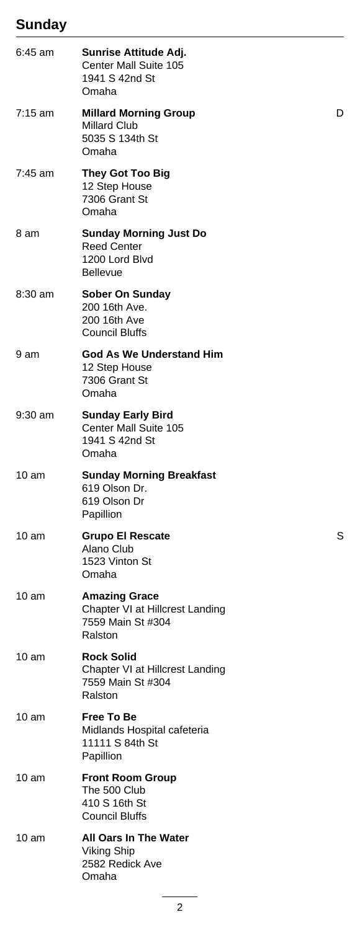## **Sunday**

| $6:45$ am         | Sunrise Attitude Adj.<br>Center Mall Suite 105<br>1941 S 42nd St<br>Omaha                |   |
|-------------------|------------------------------------------------------------------------------------------|---|
| $7:15 \text{ am}$ | <b>Millard Morning Group</b><br><b>Millard Club</b><br>5035 S 134th St<br>Omaha          | D |
| 7:45 am           | <b>They Got Too Big</b><br>12 Step House<br>7306 Grant St<br>Omaha                       |   |
| 8 am              | <b>Sunday Morning Just Do</b><br><b>Reed Center</b><br>1200 Lord Blvd<br><b>Bellevue</b> |   |
| 8:30 am           | Sober On Sunday<br>200 16th Ave.<br>200 16th Ave<br><b>Council Bluffs</b>                |   |
| 9 am              | God As We Understand Him<br>12 Step House<br>7306 Grant St<br>Omaha                      |   |
| 9:30 am           | <b>Sunday Early Bird</b><br>Center Mall Suite 105<br>1941 S 42nd St<br>Omaha             |   |
| $10 \text{ am}$   | <b>Sunday Morning Breakfast</b><br>619 Olson Dr.<br>619 Olson Dr<br>Papillion            |   |
| 10 am             | <b>Grupo El Rescate</b><br>Alano Club<br>1523 Vinton St<br>Omaha                         | S |
| $10 \text{ am}$   | <b>Amazing Grace</b><br>Chapter VI at Hillcrest Landing<br>7559 Main St #304<br>Ralston  |   |
| 10 <sub>am</sub>  | <b>Rock Solid</b><br>Chapter VI at Hillcrest Landing<br>7559 Main St #304<br>Ralston     |   |
| $10 \text{ am}$   | <b>Free To Be</b><br>Midlands Hospital cafeteria<br>11111 S 84th St<br>Papillion         |   |
| $10 \text{ am}$   | <b>Front Room Group</b><br>The 500 Club<br>410 S 16th St<br>Council Bluffs               |   |
| 10 am             | <b>All Oars In The Water</b><br>Viking Ship<br>2582 Redick Ave<br>Omaha                  |   |
|                   |                                                                                          |   |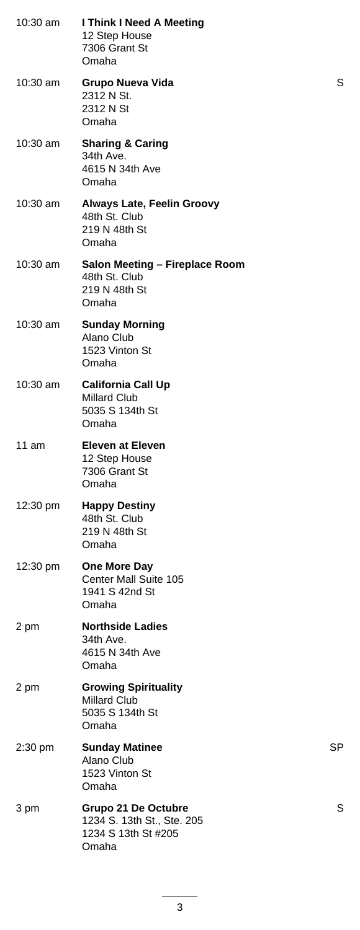| $10:30$ am         | I Think I Need A Meeting<br>12 Step House<br>7306 Grant St<br>Omaha               |    |
|--------------------|-----------------------------------------------------------------------------------|----|
| 10:30 am           | Grupo Nueva Vida<br>2312 N St.<br>2312 N St<br>Omaha                              | S  |
| $10:30$ am         | <b>Sharing &amp; Caring</b><br>34th Ave.<br>4615 N 34th Ave<br>Omaha              |    |
| 10:30 am           | <b>Always Late, Feelin Groovy</b><br>48th St. Club<br>219 N 48th St<br>Omaha      |    |
| $10:30$ am         | Salon Meeting - Fireplace Room<br>48th St. Club<br>219 N 48th St<br>Omaha         |    |
| 10:30 am           | <b>Sunday Morning</b><br>Alano Club<br>1523 Vinton St<br>Omaha                    |    |
| 10:30 am           | <b>California Call Up</b><br>Millard Club<br>5035 S 134th St<br>Omaha             |    |
| 11 $am$            | <b>Eleven at Eleven</b><br>12 Step House<br>7306 Grant St<br>Omaha                |    |
| $12:30 \text{ pm}$ | <b>Happy Destiny</b><br>48th St. Club<br>219 N 48th St<br>Omaha                   |    |
| $12:30 \text{ pm}$ | One More Day<br>Center Mall Suite 105<br>1941 S 42nd St<br>Omaha                  |    |
| 2 pm               | <b>Northside Ladies</b><br>34th Ave.<br>4615 N 34th Ave<br>Omaha                  |    |
| 2 pm               | <b>Growing Spirituality</b><br><b>Millard Club</b><br>5035 S 134th St<br>Omaha    |    |
| 2:30 pm            | <b>Sunday Matinee</b><br>Alano Club<br>1523 Vinton St<br>Omaha                    | SP |
| 3 pm               | Grupo 21 De Octubre<br>1234 S. 13th St., Ste. 205<br>1234 S 13th St #205<br>Omaha | S  |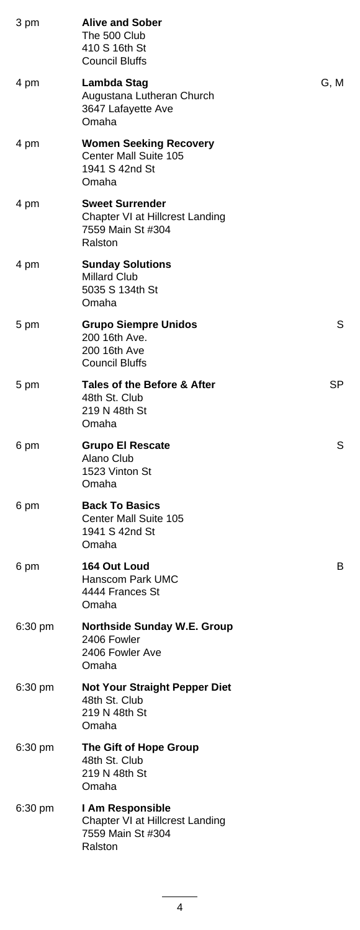| 3 pm              | <b>Alive and Sober</b><br>The 500 Club<br>410 S 16th St<br><b>Council Bluffs</b>          |      |
|-------------------|-------------------------------------------------------------------------------------------|------|
| 4 pm              | Lambda Stag<br>Augustana Lutheran Church<br>3647 Lafayette Ave<br>Omaha                   | G, M |
| 4 pm              | <b>Women Seeking Recovery</b><br>Center Mall Suite 105<br>1941 S 42nd St<br>Omaha         |      |
| 4 pm              | <b>Sweet Surrender</b><br>Chapter VI at Hillcrest Landing<br>7559 Main St #304<br>Ralston |      |
| 4 pm              | <b>Sunday Solutions</b><br><b>Millard Club</b><br>5035 S 134th St<br>Omaha                |      |
| 5 pm              | <b>Grupo Siempre Unidos</b><br>200 16th Ave.<br>200 16th Ave<br>Council Bluffs            | S    |
| 5 pm              | Tales of the Before & After<br>48th St. Club<br>219 N 48th St<br>Omaha                    | SP   |
| 6 pm              | <b>Grupo El Rescate</b><br>Alano Club<br>1523 Vinton St<br>Omaha                          | S    |
| 6 pm              | <b>Back To Basics</b><br>Center Mall Suite 105<br>1941 S 42nd St<br>Omaha                 |      |
| 6 pm              | 164 Out Loud<br>Hanscom Park UMC<br>4444 Frances St<br>Omaha                              | в    |
| 6:30 pm           | <b>Northside Sunday W.E. Group</b><br>2406 Fowler<br>2406 Fowler Ave<br>Omaha             |      |
| 6:30 pm           | <b>Not Your Straight Pepper Diet</b><br>48th St. Club<br>219 N 48th St<br>Omaha           |      |
| $6:30 \text{ pm}$ | The Gift of Hope Group<br>48th St. Club<br>219 N 48th St<br>Omaha                         |      |
| $6:30 \text{ pm}$ | I Am Responsible<br>Chapter VI at Hillcrest Landing<br>7559 Main St #304<br>Ralston       |      |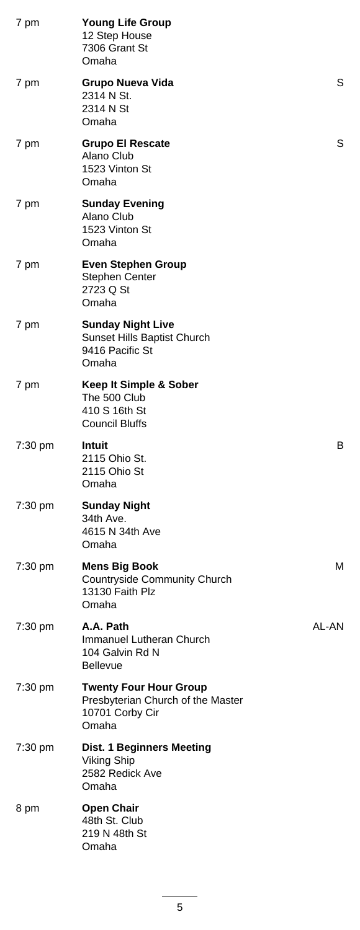| 7 pm    | <b>Young Life Group</b><br>12 Step House<br>7306 Grant St<br>Omaha                             |       |
|---------|------------------------------------------------------------------------------------------------|-------|
| 7 pm    | Grupo Nueva Vida<br>2314 N St.<br>2314 N St<br>Omaha                                           | S     |
| 7 pm    | <b>Grupo El Rescate</b><br>Alano Club<br>1523 Vinton St<br>Omaha                               | S     |
| 7 pm    | <b>Sunday Evening</b><br>Alano Club<br>1523 Vinton St<br>Omaha                                 |       |
| 7 pm    | <b>Even Stephen Group</b><br>Stephen Center<br>2723 Q St<br>Omaha                              |       |
| 7 pm    | <b>Sunday Night Live</b><br>Sunset Hills Baptist Church<br>9416 Pacific St<br>Omaha            |       |
| 7 pm    | Keep It Simple & Sober<br>The 500 Club<br>410 S 16th St<br><b>Council Bluffs</b>               |       |
| 7:30 pm | Intuit<br>2115 Ohio St.<br>2115 Ohio St<br>Omaha                                               | В     |
| 7:30 pm | <b>Sunday Night</b><br>34th Ave.<br>4615 N 34th Ave<br>Omaha                                   |       |
| 7:30 pm | <b>Mens Big Book</b><br>Countryside Community Church<br>13130 Faith Plz<br>Omaha               | м     |
| 7:30 pm | A.A. Path<br>Immanuel Lutheran Church<br>104 Galvin Rd N<br><b>Bellevue</b>                    | AL-AN |
| 7:30 pm | <b>Twenty Four Hour Group</b><br>Presbyterian Church of the Master<br>10701 Corby Cir<br>Omaha |       |
| 7:30 pm | <b>Dist. 1 Beginners Meeting</b><br><b>Viking Ship</b><br>2582 Redick Ave<br>Omaha             |       |
| 8 pm    | <b>Open Chair</b><br>48th St. Club<br>219 N 48th St<br>Omaha                                   |       |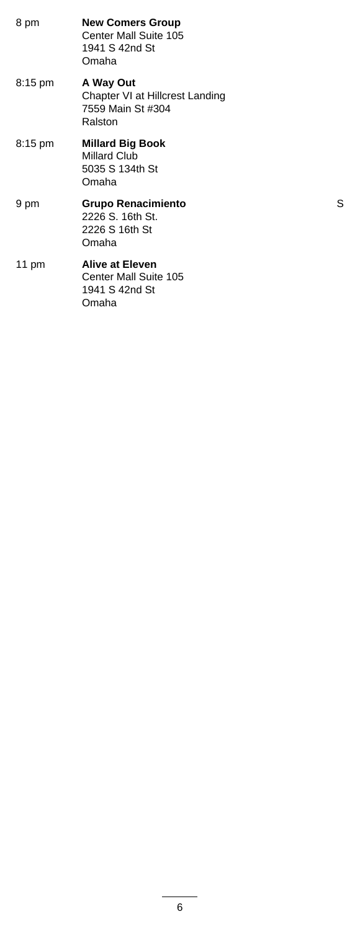| 8 pm              | <b>New Comers Group</b><br>Center Mall Suite 105<br>1941 S 42nd St<br>Omaha  |   |
|-------------------|------------------------------------------------------------------------------|---|
| $8:15 \text{ pm}$ | A Way Out<br>Chapter VI at Hillcrest Landing<br>7559 Main St #304<br>Ralston |   |
| $8:15 \text{ pm}$ | <b>Millard Big Book</b><br>Millard Club<br>5035 S 134th St<br>Omaha          |   |
| 9 pm              | <b>Grupo Renacimiento</b><br>2226 S. 16th St.<br>2226 S 16th St<br>Omaha     | S |
| 11 pm             | <b>Alive at Eleven</b><br>Center Mall Suite 105<br>1941 S 42nd St<br>Omaha   |   |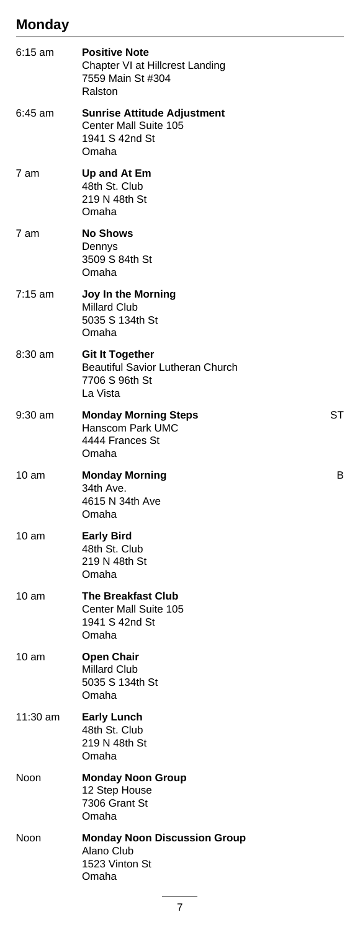#### **Monday**

| $6:15$ am | <b>Positive Note</b><br>Chapter VI at Hillcrest Landing<br>7559 Main St #304<br>Ralston         |    |
|-----------|-------------------------------------------------------------------------------------------------|----|
| 6:45 am   | <b>Sunrise Attitude Adjustment</b><br>Center Mall Suite 105<br>1941 S 42nd St<br>Omaha          |    |
| 7 am      | Up and At Em<br>48th St. Club<br>219 N 48th St<br>Omaha                                         |    |
| 7 am      | <b>No Shows</b><br>Dennys<br>3509 S 84th St<br>Omaha                                            |    |
| $7:15$ am | Joy In the Morning<br><b>Millard Club</b><br>5035 S 134th St<br>Omaha                           |    |
| $8:30$ am | <b>Git It Together</b><br><b>Beautiful Savior Lutheran Church</b><br>7706 S 96th St<br>La Vista |    |
| $9:30$ am | <b>Monday Morning Steps</b><br>Hanscom Park UMC<br>4444 Frances St<br>Omaha                     | SТ |
| 10 am     | <b>Monday Morning</b><br>34th Ave.<br>4615 N 34th Ave<br>Omaha                                  | В  |
| 10 am     | <b>Early Bird</b><br>48th St. Club<br>219 N 48th St<br>Omaha                                    |    |
| 10 am     | <b>The Breakfast Club</b><br>Center Mall Suite 105<br>1941 S 42nd St<br>Omaha                   |    |
| 10 am     | <b>Open Chair</b><br><b>Millard Club</b><br>5035 S 134th St<br>Omaha                            |    |
| 11:30 am  | <b>Early Lunch</b><br>48th St. Club<br>219 N 48th St<br>Omaha                                   |    |
| Noon      | <b>Monday Noon Group</b><br>12 Step House<br>7306 Grant St<br>Omaha                             |    |
| Noon      | <b>Monday Noon Discussion Group</b><br>Alano Club<br>1523 Vinton St<br>Omaha                    |    |
|           |                                                                                                 |    |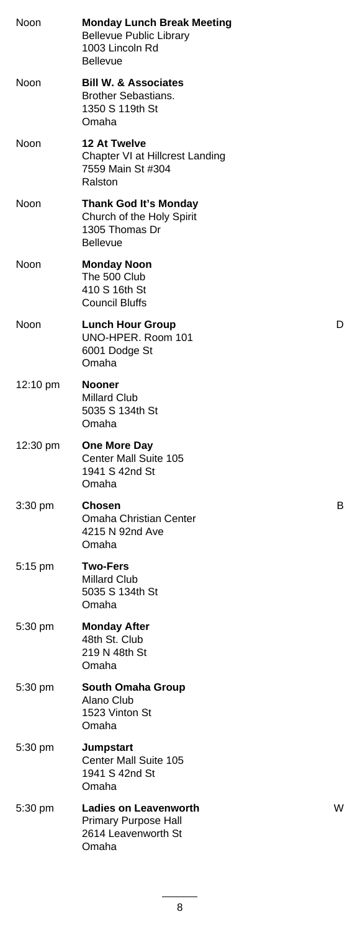| Noon              | <b>Monday Lunch Break Meeting</b><br><b>Bellevue Public Library</b><br>1003 Lincoln Rd<br><b>Bellevue</b> |   |
|-------------------|-----------------------------------------------------------------------------------------------------------|---|
| Noon              | <b>Bill W. &amp; Associates</b><br><b>Brother Sebastians.</b><br>1350 S 119th St<br>Omaha                 |   |
| Noon              | 12 At Twelve<br>Chapter VI at Hillcrest Landing<br>7559 Main St #304<br>Ralston                           |   |
| Noon              | Thank God It's Monday<br>Church of the Holy Spirit<br>1305 Thomas Dr<br><b>Bellevue</b>                   |   |
| Noon              | <b>Monday Noon</b><br>The 500 Club<br>410 S 16th St<br><b>Council Bluffs</b>                              |   |
| Noon              | <b>Lunch Hour Group</b><br>UNO-HPER. Room 101<br>6001 Dodge St<br>Omaha                                   | D |
| 12:10 pm          | <b>Nooner</b><br><b>Millard Club</b><br>5035 S 134th St<br>Omaha                                          |   |
| 12:30 pm          | One More Day<br>Center Mall Suite 105<br>1941 S 42nd St<br>Omaha                                          |   |
| 3:30 pm           | Chosen<br>Omaha Christian Center<br>4215 N 92nd Ave<br>Omaha                                              | В |
| 5:15 pm           | <b>Two-Fers</b><br>Millard Club<br>5035 S 134th St<br>Omaha                                               |   |
| $5:30 \text{ pm}$ | <b>Monday After</b><br>48th St. Club<br>219 N 48th St<br>Omaha                                            |   |
| 5:30 pm           | South Omaha Group<br>Alano Club<br>1523 Vinton St<br>Omaha                                                |   |
| 5:30 pm           | <b>Jumpstart</b><br>Center Mall Suite 105<br>1941 S 42nd St<br>Omaha                                      |   |
| 5:30 pm           | <b>Ladies on Leavenworth</b><br>Primary Purpose Hall<br>2614 Leavenworth St<br>Omaha                      | w |
|                   |                                                                                                           |   |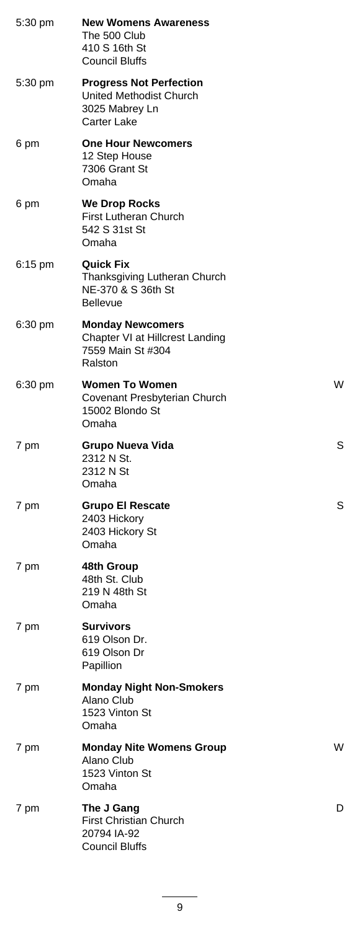| 5:30 pm | <b>New Womens Awareness</b><br>The 500 Club<br>410 S 16th St<br><b>Council Bluffs</b>      |   |
|---------|--------------------------------------------------------------------------------------------|---|
| 5:30 pm | <b>Progress Not Perfection</b><br>United Methodist Church<br>3025 Mabrey Ln<br>Carter Lake |   |
| 6 pm    | <b>One Hour Newcomers</b><br>12 Step House<br>7306 Grant St<br>Omaha                       |   |
| 6 pm    | <b>We Drop Rocks</b><br><b>First Lutheran Church</b><br>542 S 31st St<br>Omaha             |   |
| 6:15 pm | <b>Quick Fix</b><br>Thanksgiving Lutheran Church<br>NE-370 & S 36th St<br><b>Bellevue</b>  |   |
| 6:30 pm | <b>Monday Newcomers</b><br>Chapter VI at Hillcrest Landing<br>7559 Main St #304<br>Ralston |   |
| 6:30 pm | <b>Women To Women</b><br>Covenant Presbyterian Church<br>15002 Blondo St<br>Omaha          | W |
| 7 pm    | <b>Grupo Nueva Vida</b><br>2312 N St.<br>2312 N St<br>Omaha                                | S |
| 7 pm    | <b>Grupo El Rescate</b><br>2403 Hickory<br>2403 Hickory St<br>Omaha                        | S |
| 7 pm    | 48th Group<br>48th St. Club<br>219 N 48th St<br>Omaha                                      |   |
| 7 pm    | <b>Survivors</b><br>619 Olson Dr.<br>619 Olson Dr<br>Papillion                             |   |
| 7 pm    | <b>Monday Night Non-Smokers</b><br>Alano Club<br>1523 Vinton St<br>Omaha                   |   |
| 7 pm    | <b>Monday Nite Womens Group</b><br>Alano Club<br>1523 Vinton St<br>Omaha                   | W |
| 7 pm    | The J Gang<br><b>First Christian Church</b><br>20794 IA-92<br><b>Council Bluffs</b>        | D |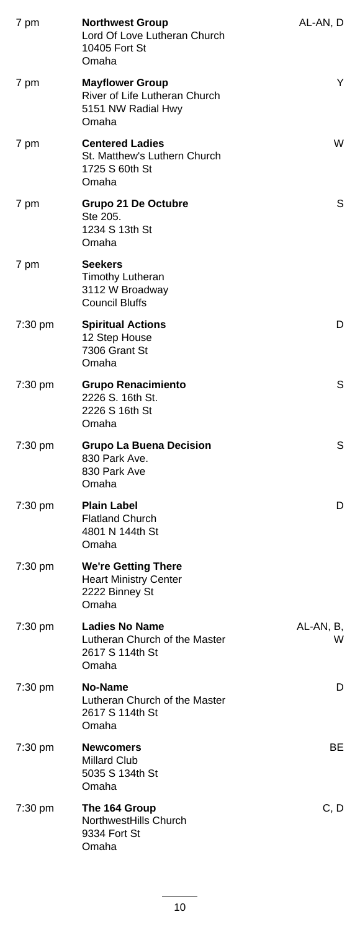| 7 pm              | <b>Northwest Group</b><br>Lord Of Love Lutheran Church<br>10405 Fort St<br>Omaha       | AL-AN, D       |
|-------------------|----------------------------------------------------------------------------------------|----------------|
| 7 pm              | <b>Mayflower Group</b><br>River of Life Lutheran Church<br>5151 NW Radial Hwy<br>Omaha | Y              |
| 7 pm              | <b>Centered Ladies</b><br>St. Matthew's Luthern Church<br>1725 S 60th St<br>Omaha      | W              |
| 7 pm              | Grupo 21 De Octubre<br>Ste 205.<br>1234 S 13th St<br>Omaha                             | S              |
| 7 pm              | <b>Seekers</b><br><b>Timothy Lutheran</b><br>3112 W Broadway<br><b>Council Bluffs</b>  |                |
| 7:30 pm           | <b>Spiritual Actions</b><br>12 Step House<br>7306 Grant St<br>Omaha                    | D              |
| 7:30 pm           | <b>Grupo Renacimiento</b><br>2226 S. 16th St.<br>2226 S 16th St<br>Omaha               | S              |
| 7:30 pm           | <b>Grupo La Buena Decision</b><br>830 Park Ave.<br>830 Park Ave<br>Omaha               | S              |
| 7:30 pm           | <b>Plain Label</b><br><b>Flatland Church</b><br>4801 N 144th St<br>Omaha               | D              |
| 7:30 pm           | <b>We're Getting There</b><br><b>Heart Ministry Center</b><br>2222 Binney St<br>Omaha  |                |
| 7:30 pm           | <b>Ladies No Name</b><br>Lutheran Church of the Master<br>2617 S 114th St<br>Omaha     | AL-AN, B,<br>W |
| 7:30 pm           | No-Name<br>Lutheran Church of the Master<br>2617 S 114th St<br>Omaha                   | D              |
| 7:30 pm           | <b>Newcomers</b><br>Millard Club<br>5035 S 134th St<br>Omaha                           | BE.            |
| $7:30 \text{ pm}$ | The 164 Group<br>NorthwestHills Church<br>9334 Fort St<br>Omaha                        | C, D           |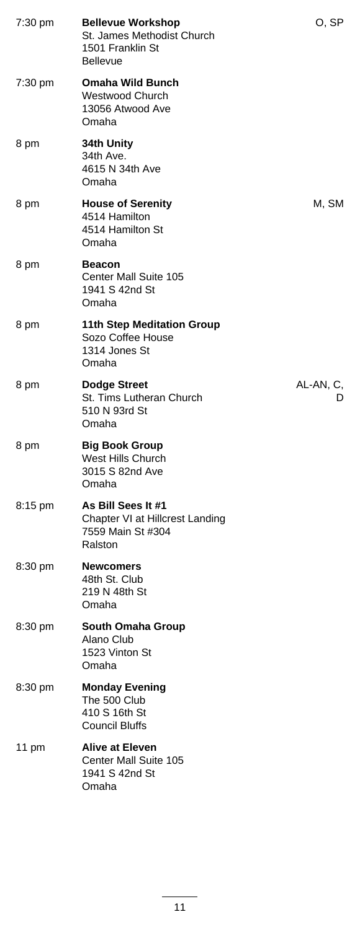| 7:30 pm           | <b>Bellevue Workshop</b><br>St. James Methodist Church<br>1501 Franklin St<br><b>Bellevue</b> | O, SP          |
|-------------------|-----------------------------------------------------------------------------------------------|----------------|
| 7:30 pm           | <b>Omaha Wild Bunch</b><br>Westwood Church<br>13056 Atwood Ave<br>Omaha                       |                |
| 8 pm              | 34th Unity<br>34th Ave.<br>4615 N 34th Ave<br>Omaha                                           |                |
| 8 pm              | <b>House of Serenity</b><br>4514 Hamilton<br>4514 Hamilton St<br>Omaha                        | M, SM          |
| 8 pm              | <b>Beacon</b><br>Center Mall Suite 105<br>1941 S 42nd St<br>Omaha                             |                |
| 8 pm              | <b>11th Step Meditation Group</b><br>Sozo Coffee House<br>1314 Jones St<br>Omaha              |                |
| 8 pm              | <b>Dodge Street</b><br>St. Tims Lutheran Church<br>510 N 93rd St<br>Omaha                     | AL-AN, C,<br>D |
| 8 pm              | <b>Big Book Group</b><br>West Hills Church<br>3015 S 82nd Ave<br>Omaha                        |                |
| 8:15 pm           | As Bill Sees It #1<br>Chapter VI at Hillcrest Landing<br>7559 Main St #304<br>Ralston         |                |
| $8:30 \text{ pm}$ | <b>Newcomers</b><br>48th St. Club<br>219 N 48th St<br>Omaha                                   |                |
| 8:30 pm           | South Omaha Group<br>Alano Club<br>1523 Vinton St<br>Omaha                                    |                |
| 8:30 pm           | <b>Monday Evening</b><br>The 500 Club<br>410 S 16th St<br><b>Council Bluffs</b>               |                |
| 11 pm             | <b>Alive at Eleven</b><br>Center Mall Suite 105<br>1941 S 42nd St<br>Omaha                    |                |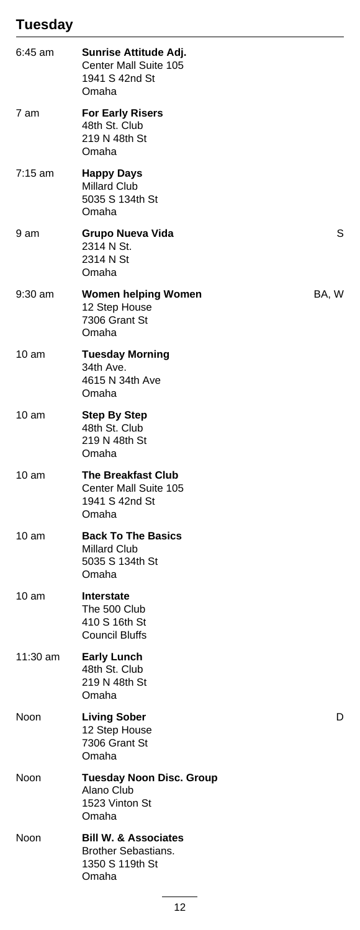# **Tuesday**

| 6:45 am           | Sunrise Attitude Adj.<br>Center Mall Suite 105<br>1941 S 42nd St<br>Omaha                 |       |
|-------------------|-------------------------------------------------------------------------------------------|-------|
| 7 am              | <b>For Early Risers</b><br>48th St. Club<br>219 N 48th St<br>Omaha                        |       |
| $7:15 \text{ am}$ | <b>Happy Days</b><br><b>Millard Club</b><br>5035 S 134th St<br>Omaha                      |       |
| 9 am              | Grupo Nueva Vida<br>2314 N St.<br>2314 N St<br>Omaha                                      | S     |
| $9:30$ am         | Women helping Women<br>12 Step House<br>7306 Grant St<br>Omaha                            | BA, W |
| 10 am             | <b>Tuesday Morning</b><br>34th Ave.<br>4615 N 34th Ave<br>Omaha                           |       |
| 10 am             | <b>Step By Step</b><br>48th St. Club<br>219 N 48th St<br>Omaha                            |       |
| 10 am             | <b>The Breakfast Club</b><br>Center Mall Suite 105<br>1941 S 42nd St<br>Omaha             |       |
| 10 am             | <b>Back To The Basics</b><br><b>Millard Club</b><br>5035 S 134th St<br>Omaha              |       |
| 10 am             | <b>Interstate</b><br>The 500 Club<br>410 S 16th St<br><b>Council Bluffs</b>               |       |
| 11:30 am          | <b>Early Lunch</b><br>48th St. Club<br>219 N 48th St<br>Omaha                             |       |
| Noon              | <b>Living Sober</b><br>12 Step House<br>7306 Grant St<br>Omaha                            | D     |
| Noon              | <b>Tuesday Noon Disc. Group</b><br>Alano Club<br>1523 Vinton St<br>Omaha                  |       |
| Noon              | <b>Bill W. &amp; Associates</b><br><b>Brother Sebastians.</b><br>1350 S 119th St<br>Omaha |       |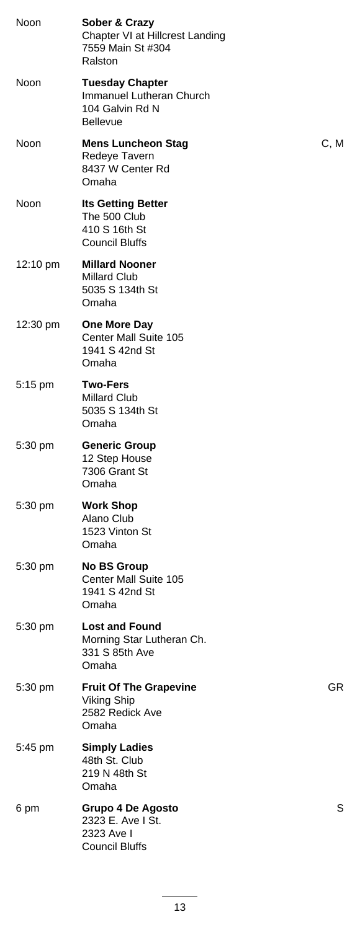| Noon        | Sober & Crazy<br>Chapter VI at Hillcrest Landing<br>7559 Main St #304<br>Ralston         |      |
|-------------|------------------------------------------------------------------------------------------|------|
| Noon        | <b>Tuesday Chapter</b><br>Immanuel Lutheran Church<br>104 Galvin Rd N<br><b>Bellevue</b> |      |
| <b>Noon</b> | <b>Mens Luncheon Stag</b><br>Redeye Tavern<br>8437 W Center Rd<br>Omaha                  | C, M |
| Noon        | <b>Its Getting Better</b><br>The 500 Club<br>410 S 16th St<br><b>Council Bluffs</b>      |      |
| 12:10 pm    | <b>Millard Nooner</b><br><b>Millard Club</b><br>5035 S 134th St<br>Omaha                 |      |
| 12:30 pm    | One More Day<br>Center Mall Suite 105<br>1941 S 42nd St<br>Omaha                         |      |
| 5:15 pm     | <b>Two-Fers</b><br><b>Millard Club</b><br>5035 S 134th St<br>Omaha                       |      |
| $5:30$ pm   | <b>Generic Group</b><br>12 Step House<br>7306 Grant St<br>Omaha                          |      |
| $5:30$ pm   | <b>Work Shop</b><br>Alano Club<br>1523 Vinton St<br>Omaha                                |      |
| 5:30 pm     | <b>No BS Group</b><br>Center Mall Suite 105<br>1941 S 42nd St<br>Omaha                   |      |
| 5:30 pm     | <b>Lost and Found</b><br>Morning Star Lutheran Ch.<br>331 S 85th Ave<br>Omaha            |      |
| 5:30 pm     | <b>Fruit Of The Grapevine</b><br><b>Viking Ship</b><br>2582 Redick Ave<br>Omaha          | GR.  |
| 5:45 pm     | <b>Simply Ladies</b><br>48th St. Club<br>219 N 48th St<br>Omaha                          |      |
| 6 pm        | <b>Grupo 4 De Agosto</b><br>2323 E. Ave I St.<br>2323 Ave I<br><b>Council Bluffs</b>     | S    |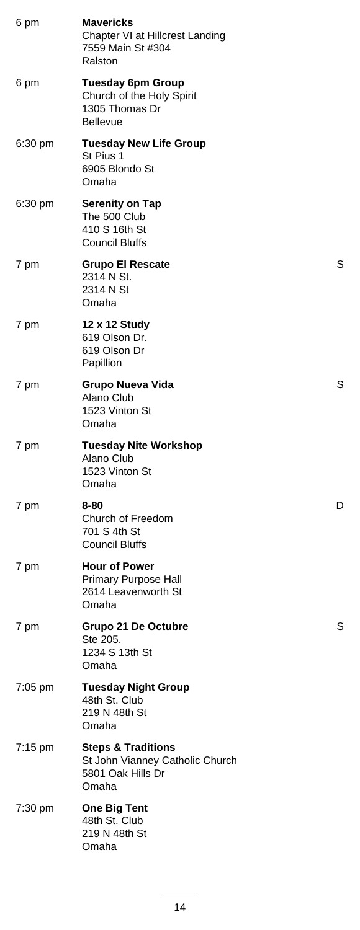| 6 pm    | <b>Mavericks</b><br>Chapter VI at Hillcrest Landing<br>7559 Main St #304<br>Ralston            |   |
|---------|------------------------------------------------------------------------------------------------|---|
| 6 pm    | <b>Tuesday 6pm Group</b><br>Church of the Holy Spirit<br>1305 Thomas Dr<br><b>Bellevue</b>     |   |
| 6:30 pm | <b>Tuesday New Life Group</b><br>St Pius 1<br>6905 Blondo St<br>Omaha                          |   |
| 6:30 pm | <b>Serenity on Tap</b><br>The 500 Club<br>410 S 16th St<br><b>Council Bluffs</b>               |   |
| 7 pm    | <b>Grupo El Rescate</b><br>2314 N St.<br>2314 N St<br>Omaha                                    | S |
| 7 pm    | 12 x 12 Study<br>619 Olson Dr.<br>619 Olson Dr<br>Papillion                                    |   |
| 7 pm    | Grupo Nueva Vida<br>Alano Club<br>1523 Vinton St<br>Omaha                                      | S |
| 7 pm    | <b>Tuesday Nite Workshop</b><br>Alano Club<br>1523 Vinton St<br>Omaha                          |   |
| 7 pm    | 8-80<br>Church of Freedom<br>701 S 4th St<br><b>Council Bluffs</b>                             | D |
| 7 pm    | <b>Hour of Power</b><br>Primary Purpose Hall<br>2614 Leavenworth St<br>Omaha                   |   |
| 7 pm    | Grupo 21 De Octubre<br>Ste 205.<br>1234 S 13th St<br>Omaha                                     | S |
| 7:05 pm | <b>Tuesday Night Group</b><br>48th St. Club<br>219 N 48th St<br>Omaha                          |   |
| 7:15 pm | <b>Steps &amp; Traditions</b><br>St John Vianney Catholic Church<br>5801 Oak Hills Dr<br>Omaha |   |
| 7:30 pm | <b>One Big Tent</b><br>48th St. Club<br>219 N 48th St<br>Omaha                                 |   |
|         |                                                                                                |   |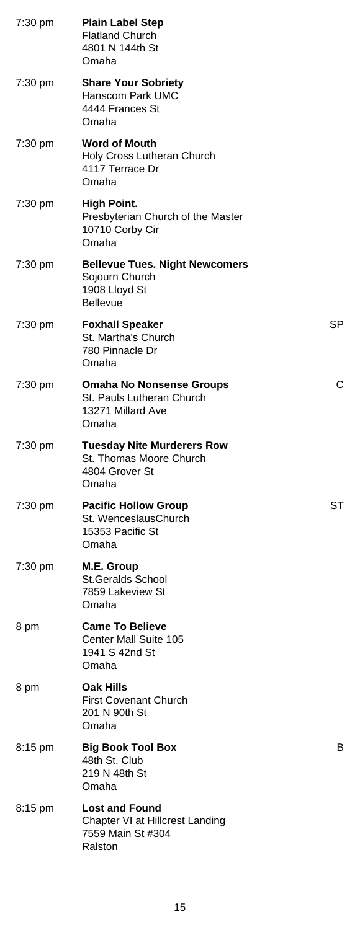| 7:30 pm | <b>Plain Label Step</b><br><b>Flatland Church</b><br>4801 N 144th St<br>Omaha               |     |
|---------|---------------------------------------------------------------------------------------------|-----|
| 7:30 pm | <b>Share Your Sobriety</b><br>Hanscom Park UMC<br>4444 Frances St<br>Omaha                  |     |
| 7:30 pm | <b>Word of Mouth</b><br>Holy Cross Lutheran Church<br>4117 Terrace Dr<br>Omaha              |     |
| 7:30 pm | <b>High Point.</b><br>Presbyterian Church of the Master<br>10710 Corby Cir<br>Omaha         |     |
| 7:30 pm | <b>Bellevue Tues. Night Newcomers</b><br>Sojourn Church<br>1908 Lloyd St<br><b>Bellevue</b> |     |
| 7:30 pm | <b>Foxhall Speaker</b><br>St. Martha's Church<br>780 Pinnacle Dr<br>Omaha                   | SP. |
| 7:30 pm | <b>Omaha No Nonsense Groups</b><br>St. Pauls Lutheran Church<br>13271 Millard Ave<br>Omaha  | С   |
| 7:30 pm | <b>Tuesday Nite Murderers Row</b><br>St. Thomas Moore Church<br>4804 Grover St<br>Omaha     |     |
| 7:30 pm | <b>Pacific Hollow Group</b><br>St. WenceslausChurch<br>15353 Pacific St<br>Omaha            | ST  |
| 7:30 pm | M.E. Group<br><b>St.Geralds School</b><br>7859 Lakeview St<br>Omaha                         |     |
| 8 pm    | <b>Came To Believe</b><br>Center Mall Suite 105<br>1941 S 42nd St<br>Omaha                  |     |
| 8 pm    | <b>Oak Hills</b><br><b>First Covenant Church</b><br>201 N 90th St<br>Omaha                  |     |
| 8:15 pm | <b>Big Book Tool Box</b><br>48th St. Club<br>219 N 48th St<br>Omaha                         | в   |
| 8:15 pm | <b>Lost and Found</b><br>Chapter VI at Hillcrest Landing<br>7559 Main St #304<br>Ralston    |     |
|         |                                                                                             |     |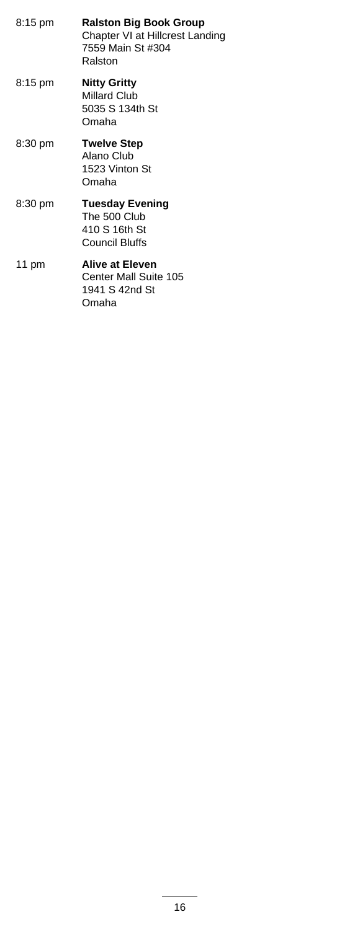| 8:15 pm | <b>Ralston Big Book Group</b><br>Chapter VI at Hillcrest Landing<br>7559 Main St #304<br>Ralston |
|---------|--------------------------------------------------------------------------------------------------|
| 8:15 pm | <b>Nitty Gritty</b><br>Millard Club<br>5035 S 134th St<br>Omaha                                  |
| 8:30 pm | <b>Twelve Step</b><br>Alano Club<br>1523 Vinton St<br>Omaha                                      |
| 8:30 pm | <b>Tuesday Evening</b><br>The 500 Club<br>410 S 16th St<br>Council Bluffs                        |
| 11 pm   | <b>Alive at Eleven</b><br>Center Mall Suite 105<br>1941 S 42nd St<br>Omaha                       |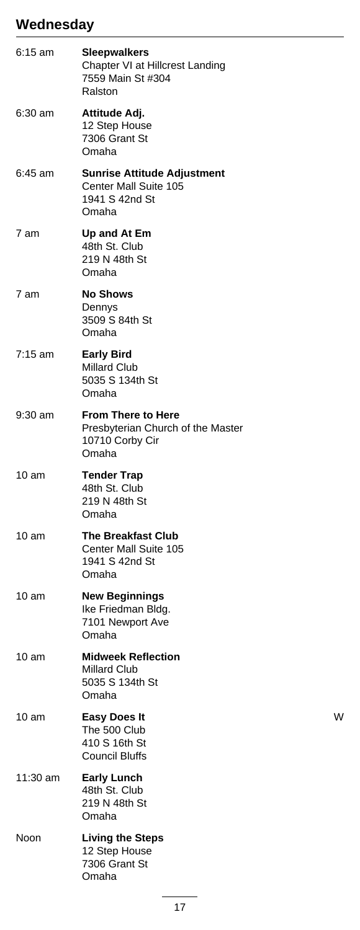#### **Wednesday**

| $6:15$ am         | <b>Sleepwalkers</b><br>Chapter VI at Hillcrest Landing<br>7559 Main St #304<br>Ralston     |   |
|-------------------|--------------------------------------------------------------------------------------------|---|
| 6:30 am           | Attitude Adj.<br>12 Step House<br>7306 Grant St<br>Omaha                                   |   |
| 6:45 am           | <b>Sunrise Attitude Adjustment</b><br>Center Mall Suite 105<br>1941 S 42nd St<br>Omaha     |   |
| 7 am              | Up and At Em<br>48th St. Club<br>219 N 48th St<br>Omaha                                    |   |
| 7 am              | <b>No Shows</b><br>Dennys<br>3509 S 84th St<br>Omaha                                       |   |
| $7:15 \text{ am}$ | <b>Early Bird</b><br>Millard Club<br>5035 S 134th St<br>Omaha                              |   |
| $9:30$ am         | <b>From There to Here</b><br>Presbyterian Church of the Master<br>10710 Corby Cir<br>Omaha |   |
| 10 <sub>am</sub>  | <b>Tender Trap</b><br>48th St. Club<br>219 N 48th St<br>Omaha                              |   |
| $10 \text{ am}$   | <b>The Breakfast Club</b><br>Center Mall Suite 105<br>1941 S 42nd St<br>Omaha              |   |
| 10 am             | <b>New Beginnings</b><br>Ike Friedman Bldg.<br>7101 Newport Ave<br>Omaha                   |   |
| 10 <sub>am</sub>  | <b>Midweek Reflection</b><br><b>Millard Club</b><br>5035 S 134th St<br>Omaha               |   |
| 10 am             | <b>Easy Does It</b><br>The 500 Club<br>410 S 16th St<br><b>Council Bluffs</b>              | W |
| 11:30 am          | <b>Early Lunch</b><br>48th St. Club<br>219 N 48th St<br>Omaha                              |   |
| Noon              | <b>Living the Steps</b><br>12 Step House<br>7306 Grant St<br>Omaha                         |   |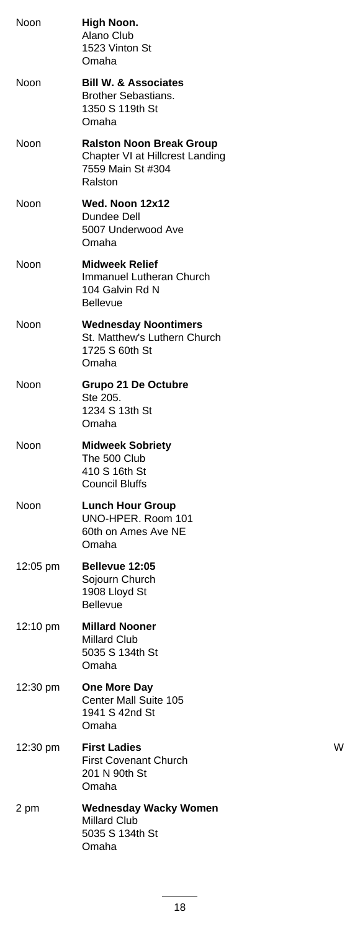| Noon               | High Noon.<br>Alano Club<br>1523 Vinton St<br>Omaha                                                |   |
|--------------------|----------------------------------------------------------------------------------------------------|---|
| Noon               | <b>Bill W. &amp; Associates</b><br><b>Brother Sebastians.</b><br>1350 S 119th St<br>Omaha          |   |
| Noon               | <b>Ralston Noon Break Group</b><br>Chapter VI at Hillcrest Landing<br>7559 Main St #304<br>Ralston |   |
| Noon               | Wed. Noon 12x12<br>Dundee Dell<br>5007 Underwood Ave<br>Omaha                                      |   |
| Noon               | <b>Midweek Relief</b><br>Immanuel Lutheran Church<br>104 Galvin Rd N<br><b>Bellevue</b>            |   |
| Noon               | <b>Wednesday Noontimers</b><br>St. Matthew's Luthern Church<br>1725 S 60th St<br>Omaha             |   |
| Noon               | Grupo 21 De Octubre<br>Ste 205.<br>1234 S 13th St<br>Omaha                                         |   |
| Noon               | <b>Midweek Sobriety</b><br>The 500 Club<br>410 S 16th St<br>Council Bluffs                         |   |
| Noon               | <b>Lunch Hour Group</b><br>UNO-HPER. Room 101<br>60th on Ames Ave NE<br>Omaha                      |   |
| 12:05 pm           | Bellevue 12:05<br>Sojourn Church<br>1908 Lloyd St<br><b>Bellevue</b>                               |   |
| $12:10 \text{ pm}$ | <b>Millard Nooner</b><br><b>Millard Club</b><br>5035 S 134th St<br>Omaha                           |   |
| 12:30 pm           | <b>One More Day</b><br>Center Mall Suite 105<br>1941 S 42nd St<br>Omaha                            |   |
| 12:30 pm           | <b>First Ladies</b><br><b>First Covenant Church</b><br>201 N 90th St<br>Omaha                      | W |
| 2 pm               | <b>Wednesday Wacky Women</b><br><b>Millard Club</b><br>5035 S 134th St<br>Omaha                    |   |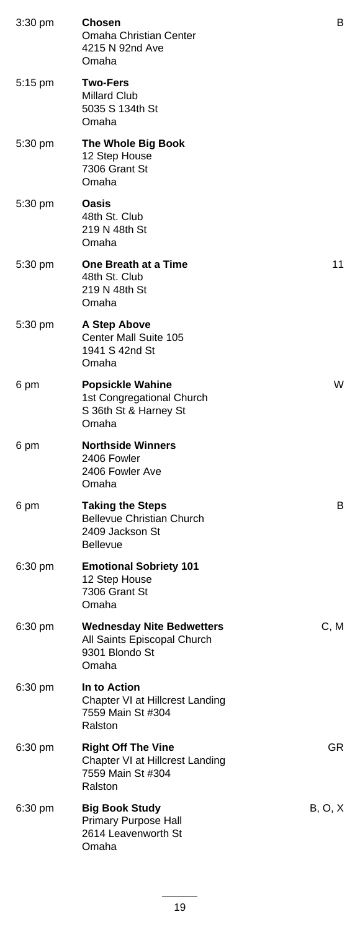| $3:30 \text{ pm}$ | <b>Chosen</b><br><b>Omaha Christian Center</b><br>4215 N 92nd Ave<br>Omaha                   | В       |
|-------------------|----------------------------------------------------------------------------------------------|---------|
| $5:15 \text{ pm}$ | <b>Two-Fers</b><br>Millard Club<br>5035 S 134th St<br>Omaha                                  |         |
| 5:30 pm           | The Whole Big Book<br>12 Step House<br>7306 Grant St<br>Omaha                                |         |
| $5:30$ pm         | <b>Oasis</b><br>48th St. Club<br>219 N 48th St<br>Omaha                                      |         |
| $5:30 \text{ pm}$ | One Breath at a Time<br>48th St. Club<br>219 N 48th St<br>Omaha                              | 11      |
| 5:30 pm           | A Step Above<br>Center Mall Suite 105<br>1941 S 42nd St<br>Omaha                             |         |
| 6 pm              | <b>Popsickle Wahine</b><br>1st Congregational Church<br>S 36th St & Harney St<br>Omaha       | W       |
| 6 pm              | <b>Northside Winners</b><br>2406 Fowler<br>2406 Fowler Ave<br>Omaha                          |         |
| 6 pm              | <b>Taking the Steps</b><br><b>Bellevue Christian Church</b><br>2409 Jackson St<br>Bellevue   | В       |
| $6:30$ pm         | <b>Emotional Sobriety 101</b><br>12 Step House<br>7306 Grant St<br>Omaha                     |         |
| $6:30 \text{ pm}$ | <b>Wednesday Nite Bedwetters</b><br>All Saints Episcopal Church<br>9301 Blondo St<br>Omaha   | C, M    |
| $6:30 \text{ pm}$ | In to Action<br>Chapter VI at Hillcrest Landing<br>7559 Main St #304<br>Ralston              |         |
| $6:30 \text{ pm}$ | <b>Right Off The Vine</b><br>Chapter VI at Hillcrest Landing<br>7559 Main St #304<br>Ralston | GR.     |
| $6:30 \text{ pm}$ | <b>Big Book Study</b><br>Primary Purpose Hall<br>2614 Leavenworth St<br>Omaha                | B, O, X |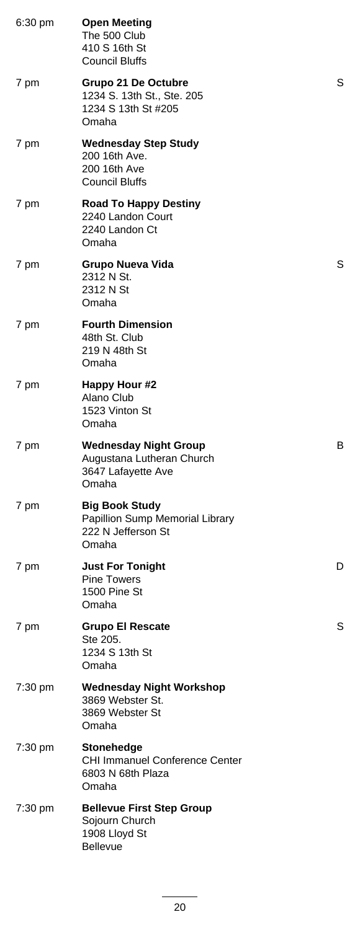| 6:30 pm | <b>Open Meeting</b><br>The 500 Club<br>410 S 16th St<br><b>Council Bluffs</b>            |   |
|---------|------------------------------------------------------------------------------------------|---|
| 7 pm    | <b>Grupo 21 De Octubre</b><br>1234 S. 13th St., Ste. 205<br>1234 S 13th St #205<br>Omaha | S |
| 7 pm    | <b>Wednesday Step Study</b><br>200 16th Ave.<br>200 16th Ave<br>Council Bluffs           |   |
| 7 pm    | <b>Road To Happy Destiny</b><br>2240 Landon Court<br>2240 Landon Ct<br>Omaha             |   |
| 7 pm    | Grupo Nueva Vida<br>2312 N St.<br>2312 N St<br>Omaha                                     | S |
| 7 pm    | <b>Fourth Dimension</b><br>48th St. Club<br>219 N 48th St<br>Omaha                       |   |
| 7 pm    | Happy Hour #2<br>Alano Club<br>1523 Vinton St<br>Omaha                                   |   |
| 7 pm    | <b>Wednesday Night Group</b><br>Augustana Lutheran Church<br>3647 Lafayette Ave<br>Omaha | в |
| 7 pm    | <b>Big Book Study</b><br>Papillion Sump Memorial Library<br>222 N Jefferson St<br>Omaha  |   |
| 7 pm    | <b>Just For Tonight</b><br><b>Pine Towers</b><br>1500 Pine St<br>Omaha                   | D |
| 7 pm    | <b>Grupo El Rescate</b><br>Ste 205.<br>1234 S 13th St<br>Omaha                           | S |
| 7:30 pm | <b>Wednesday Night Workshop</b><br>3869 Webster St.<br>3869 Webster St<br>Omaha          |   |
| 7:30 pm | <b>Stonehedge</b><br><b>CHI Immanuel Conference Center</b><br>6803 N 68th Plaza<br>Omaha |   |
| 7:30 pm | <b>Bellevue First Step Group</b><br>Sojourn Church<br>1908 Lloyd St<br><b>Bellevue</b>   |   |
|         |                                                                                          |   |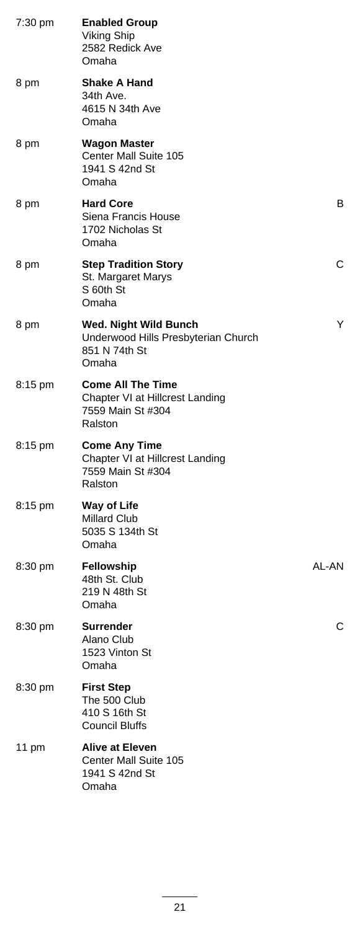| 7:30 pm | <b>Enabled Group</b><br><b>Viking Ship</b><br>2582 Redick Ave<br>Omaha                      |       |
|---------|---------------------------------------------------------------------------------------------|-------|
| 8 pm    | <b>Shake A Hand</b><br>34th Ave.<br>4615 N 34th Ave<br>Omaha                                |       |
| 8 pm    | <b>Wagon Master</b><br>Center Mall Suite 105<br>1941 S 42nd St<br>Omaha                     |       |
| 8 pm    | <b>Hard Core</b><br>Siena Francis House<br>1702 Nicholas St<br>Omaha                        | В     |
| 8 pm    | <b>Step Tradition Story</b><br>St. Margaret Marys<br>S 60th St<br>Omaha                     | С     |
| 8 pm    | Wed. Night Wild Bunch<br>Underwood Hills Presbyterian Church<br>851 N 74th St<br>Omaha      | Y     |
| 8:15 pm | <b>Come All The Time</b><br>Chapter VI at Hillcrest Landing<br>7559 Main St #304<br>Ralston |       |
| 8:15 pm | <b>Come Any Time</b><br>Chapter VI at Hillcrest Landing<br>7559 Main St #304<br>Ralston     |       |
| 8:15 pm | Way of Life<br><b>Millard Club</b><br>5035 S 134th St<br>Omaha                              |       |
| 8:30 pm | Fellowship<br>48th St. Club<br>219 N 48th St<br>Omaha                                       | AL-AN |
| 8:30 pm | <b>Surrender</b><br>Alano Club<br>1523 Vinton St<br>Omaha                                   | С     |
| 8:30 pm | <b>First Step</b><br>The 500 Club<br>410 S 16th St<br><b>Council Bluffs</b>                 |       |
| 11 pm   | <b>Alive at Eleven</b><br>Center Mall Suite 105<br>1941 S 42nd St<br>Omaha                  |       |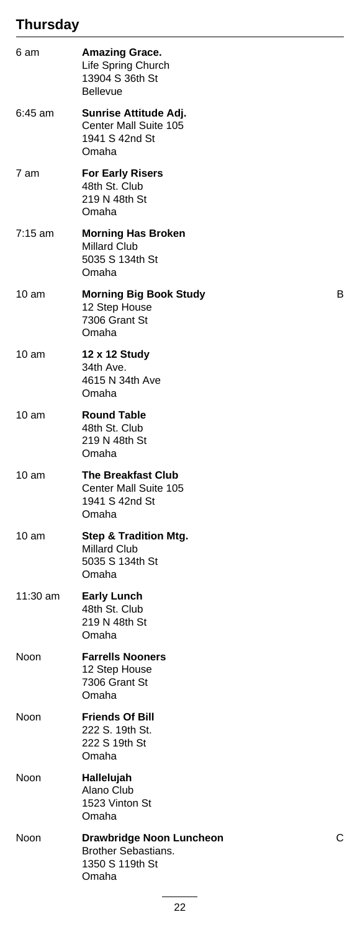# **Thursday**

| 6 am              | <b>Amazing Grace.</b><br>Life Spring Church<br>13904 S 36th St<br><b>Bellevue</b>   |   |
|-------------------|-------------------------------------------------------------------------------------|---|
| 6:45 am           | Sunrise Attitude Adj.<br>Center Mall Suite 105<br>1941 S 42nd St<br>Omaha           |   |
| 7 am              | <b>For Early Risers</b><br>48th St. Club<br>219 N 48th St<br>Omaha                  |   |
| $7:15 \text{ am}$ | <b>Morning Has Broken</b><br><b>Millard Club</b><br>5035 S 134th St<br>Omaha        |   |
| 10 <sub>am</sub>  | <b>Morning Big Book Study</b><br>12 Step House<br>7306 Grant St<br>Omaha            | В |
| 10 am             | 12 x 12 Study<br>34th Ave.<br>4615 N 34th Ave<br>Omaha                              |   |
| 10 am             | <b>Round Table</b><br>48th St. Club<br>219 N 48th St<br>Omaha                       |   |
| 10 am             | <b>The Breakfast Club</b><br>Center Mall Suite 105<br>1941 S 42nd St<br>Omaha       |   |
| 10 am             | <b>Step &amp; Tradition Mtg.</b><br><b>Millard Club</b><br>5035 S 134th St<br>Omaha |   |
| 11:30 am          | <b>Early Lunch</b><br>48th St. Club<br>219 N 48th St<br>Omaha                       |   |
| Noon              | <b>Farrells Nooners</b><br>12 Step House<br>7306 Grant St<br>Omaha                  |   |
| Noon              | <b>Friends Of Bill</b><br>222 S. 19th St.<br>222 S 19th St<br>Omaha                 |   |
| Noon              | Hallelujah<br>Alano Club<br>1523 Vinton St<br>Omaha                                 |   |
| Noon              | Drawbridge Noon Luncheon<br>Brother Sebastians.<br>1350 S 119th St<br>Omaha         | С |
|                   |                                                                                     |   |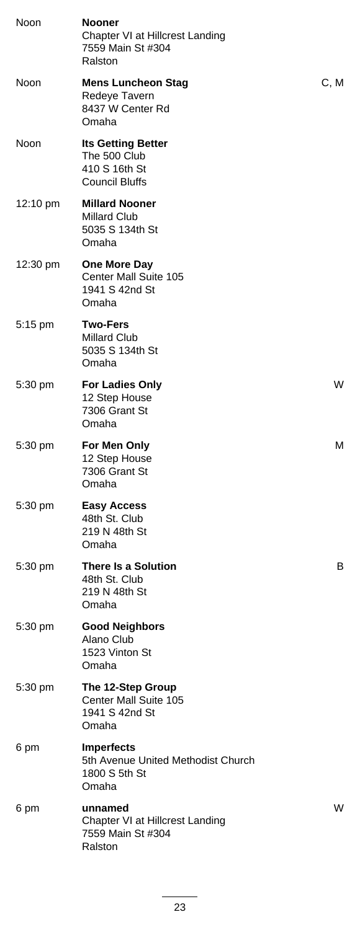| Noon        | Nooner<br>Chapter VI at Hillcrest Landing<br>7559 Main St #304<br>Ralston           |      |
|-------------|-------------------------------------------------------------------------------------|------|
| <b>Noon</b> | <b>Mens Luncheon Stag</b><br>Redeye Tavern<br>8437 W Center Rd<br>Omaha             | C, M |
| Noon        | <b>Its Getting Better</b><br>The 500 Club<br>410 S 16th St<br><b>Council Bluffs</b> |      |
| 12:10 pm    | <b>Millard Nooner</b><br><b>Millard Club</b><br>5035 S 134th St<br>Omaha            |      |
| 12:30 pm    | <b>One More Day</b><br>Center Mall Suite 105<br>1941 S 42nd St<br>Omaha             |      |
| 5:15 pm     | <b>Two-Fers</b><br>Millard Club<br>5035 S 134th St<br>Omaha                         |      |
| 5:30 pm     | <b>For Ladies Only</b><br>12 Step House<br>7306 Grant St<br>Omaha                   | W    |
| 5:30 pm     | For Men Only<br>12 Step House<br>7306 Grant St<br>Omaha                             | м    |
| $5:30$ pm   | <b>Easy Access</b><br>48th St. Club<br>219 N 48th St<br>Omaha                       |      |
| 5:30 pm     | There Is a Solution<br>48th St. Club<br>219 N 48th St<br>Omaha                      | В    |
| 5:30 pm     | <b>Good Neighbors</b><br>Alano Club<br>1523 Vinton St<br>Omaha                      |      |
| 5:30 pm     | The 12-Step Group<br><b>Center Mall Suite 105</b><br>1941 S 42nd St<br>Omaha        |      |
| 6 pm        | <b>Imperfects</b><br>5th Avenue United Methodist Church<br>1800 S 5th St<br>Omaha   |      |
| 6 pm        | unnamed<br>Chapter VI at Hillcrest Landing<br>7559 Main St #304<br>Ralston          | W    |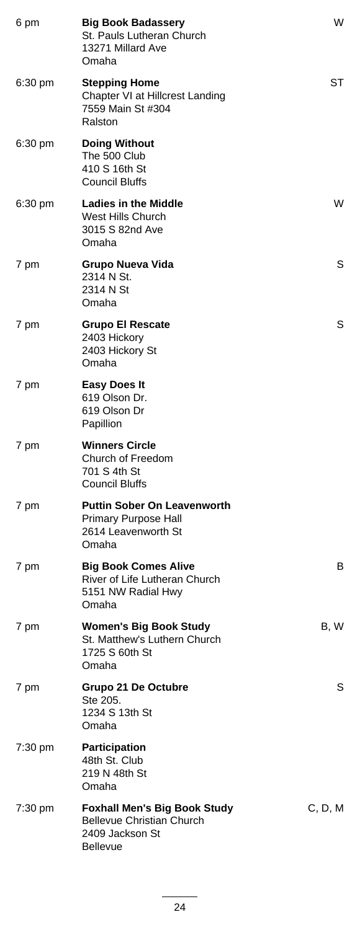| 6 pm    | <b>Big Book Badassery</b><br>St. Pauls Lutheran Church<br>13271 Millard Ave<br>Omaha                          | W       |
|---------|---------------------------------------------------------------------------------------------------------------|---------|
| 6:30 pm | <b>Stepping Home</b><br>Chapter VI at Hillcrest Landing<br>7559 Main St #304<br>Ralston                       | ST      |
| 6:30 pm | <b>Doing Without</b><br>The 500 Club<br>410 S 16th St<br><b>Council Bluffs</b>                                |         |
| 6:30 pm | <b>Ladies in the Middle</b><br>West Hills Church<br>3015 S 82nd Ave<br>Omaha                                  | W       |
| 7 pm    | Grupo Nueva Vida<br>2314 N St.<br>2314 N St<br>Omaha                                                          | S       |
| 7 pm    | <b>Grupo El Rescate</b><br>2403 Hickory<br>2403 Hickory St<br>Omaha                                           | S       |
| 7 pm    | <b>Easy Does It</b><br>619 Olson Dr.<br>619 Olson Dr<br>Papillion                                             |         |
| 7 pm    | <b>Winners Circle</b><br>Church of Freedom<br>701 S 4th St<br><b>Council Bluffs</b>                           |         |
| 7 pm    | <b>Puttin Sober On Leavenworth</b><br><b>Primary Purpose Hall</b><br>2614 Leavenworth St<br>Omaha             |         |
| 7 pm    | <b>Big Book Comes Alive</b><br>River of Life Lutheran Church<br>5151 NW Radial Hwy<br>Omaha                   | В       |
| 7 pm    | <b>Women's Big Book Study</b><br>St. Matthew's Luthern Church<br>1725 S 60th St<br>Omaha                      | B, W    |
| 7 pm    | <b>Grupo 21 De Octubre</b><br>Ste 205.<br>1234 S 13th St<br>Omaha                                             | S       |
| 7:30 pm | <b>Participation</b><br>48th St. Club<br>219 N 48th St<br>Omaha                                               |         |
| 7:30 pm | <b>Foxhall Men's Big Book Study</b><br><b>Bellevue Christian Church</b><br>2409 Jackson St<br><b>Bellevue</b> | C, D, M |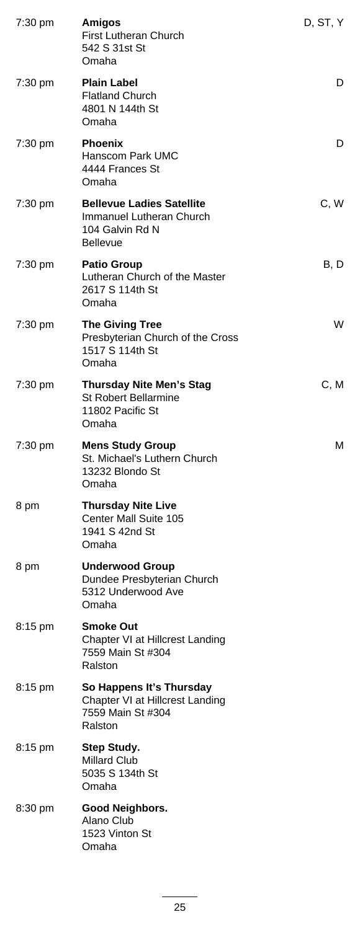| 7:30 pm           | <b>Amigos</b><br>First Lutheran Church<br>542 S 31st St<br>Omaha                                   | D, ST, Y |
|-------------------|----------------------------------------------------------------------------------------------------|----------|
| 7:30 pm           | <b>Plain Label</b><br><b>Flatland Church</b><br>4801 N 144th St<br>Omaha                           | D        |
| 7:30 pm           | <b>Phoenix</b><br>Hanscom Park UMC<br>4444 Frances St<br>Omaha                                     | D        |
| 7:30 pm           | <b>Bellevue Ladies Satellite</b><br>Immanuel Lutheran Church<br>104 Galvin Rd N<br><b>Bellevue</b> | C, W     |
| 7:30 pm           | <b>Patio Group</b><br>Lutheran Church of the Master<br>2617 S 114th St<br>Omaha                    | B, D     |
| 7:30 pm           | <b>The Giving Tree</b><br>Presbyterian Church of the Cross<br>1517 S 114th St<br>Omaha             | W        |
| 7:30 pm           | <b>Thursday Nite Men's Stag</b><br><b>St Robert Bellarmine</b><br>11802 Pacific St<br>Omaha        | C, M     |
| 7:30 pm           | <b>Mens Study Group</b><br>St. Michael's Luthern Church<br>13232 Blondo St<br>Omaha                | м        |
| 8 pm              | <b>Thursday Nite Live</b><br>Center Mall Suite 105<br>1941 S 42nd St<br>Omaha                      |          |
| 8 pm              | <b>Underwood Group</b><br>Dundee Presbyterian Church<br>5312 Underwood Ave<br>Omaha                |          |
| 8:15 pm           | <b>Smoke Out</b><br>Chapter VI at Hillcrest Landing<br>7559 Main St #304<br>Ralston                |          |
| $8:15 \text{ pm}$ | So Happens It's Thursday<br>Chapter VI at Hillcrest Landing<br>7559 Main St #304<br>Ralston        |          |
| 8:15 pm           | Step Study.<br>Millard Club<br>5035 S 134th St<br>Omaha                                            |          |
| 8:30 pm           | Good Neighbors.<br>Alano Club<br>1523 Vinton St<br>Omaha                                           |          |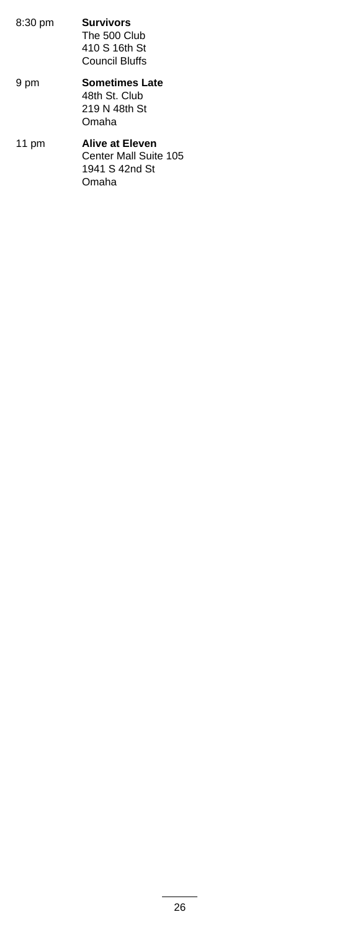- **Survivors** The 500 Club 410 S 16th St Council Bluffs 8:30 pm **Sometimes Late** 9 pm
- 48th St. Club 219 N 48th St Omaha
- **Alive at Eleven** Center Mall Suite 105 1941 S 42nd St Omaha 11 pm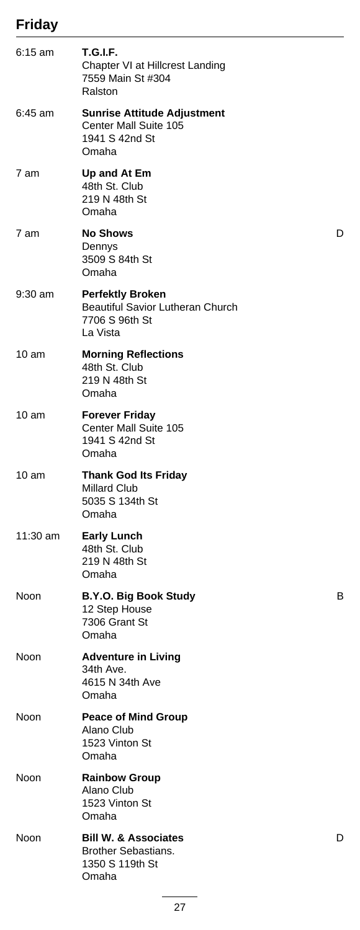## **Friday**

| $6:15$ am        | <b>T.G.I.F.</b><br>Chapter VI at Hillcrest Landing<br>7559 Main St #304<br>Ralston               |   |
|------------------|--------------------------------------------------------------------------------------------------|---|
| $6:45$ am        | <b>Sunrise Attitude Adjustment</b><br>Center Mall Suite 105<br>1941 S 42nd St<br>Omaha           |   |
| 7 am             | Up and At Em<br>48th St. Club<br>219 N 48th St<br>Omaha                                          |   |
| 7 am             | <b>No Shows</b><br>Dennys<br>3509 S 84th St<br>Omaha                                             | D |
| 9:30 am          | <b>Perfektly Broken</b><br><b>Beautiful Savior Lutheran Church</b><br>7706 S 96th St<br>La Vista |   |
| $10 \text{ am}$  | <b>Morning Reflections</b><br>48th St. Club<br>219 N 48th St<br>Omaha                            |   |
| $10 \text{ am}$  | <b>Forever Friday</b><br>Center Mall Suite 105<br>1941 S 42nd St<br>Omaha                        |   |
| 10 <sub>am</sub> | <b>Thank God Its Friday</b><br><b>Millard Club</b><br>5035 S 134th St<br>Omaha                   |   |
| 11:30 am         | <b>Early Lunch</b><br>48th St. Club<br>219 N 48th St<br>Omaha                                    |   |
| Noon             | <b>B.Y.O. Big Book Study</b><br>12 Step House<br>7306 Grant St<br>Omaha                          | В |
| Noon             | <b>Adventure in Living</b><br>34th Ave.<br>4615 N 34th Ave<br>Omaha                              |   |
| Noon             | <b>Peace of Mind Group</b><br>Alano Club<br>1523 Vinton St<br>Omaha                              |   |
| Noon             | <b>Rainbow Group</b><br>Alano Club<br>1523 Vinton St<br>Omaha                                    |   |
| Noon             | <b>Bill W. &amp; Associates</b><br><b>Brother Sebastians.</b><br>1350 S 119th St<br>Omaha        | D |
|                  |                                                                                                  |   |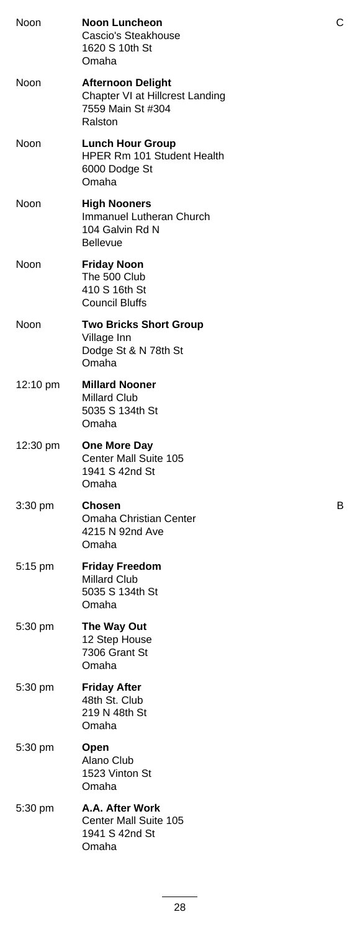| Noon      | <b>Noon Luncheon</b><br>Cascio's Steakhouse<br>1620 S 10th St<br>Omaha                      | С |
|-----------|---------------------------------------------------------------------------------------------|---|
| Noon      | <b>Afternoon Delight</b><br>Chapter VI at Hillcrest Landing<br>7559 Main St #304<br>Ralston |   |
| Noon      | <b>Lunch Hour Group</b><br>HPER Rm 101 Student Health<br>6000 Dodge St<br>Omaha             |   |
| Noon      | <b>High Nooners</b><br>Immanuel Lutheran Church<br>104 Galvin Rd N<br><b>Bellevue</b>       |   |
| Noon      | <b>Friday Noon</b><br>The 500 Club<br>410 S 16th St<br><b>Council Bluffs</b>                |   |
| Noon      | <b>Two Bricks Short Group</b><br>Village Inn<br>Dodge St & N 78th St<br>Omaha               |   |
| 12:10 pm  | <b>Millard Nooner</b><br><b>Millard Club</b><br>5035 S 134th St<br>Omaha                    |   |
| 12:30 pm  | One More Day<br>Center Mall Suite 105<br>1941 S 42nd St<br>Omaha                            |   |
| 3:30 pm   | Chosen<br>Omaha Christian Center<br>4215 N 92nd Ave<br>Omaha                                | В |
| 5:15 pm   | <b>Friday Freedom</b><br><b>Millard Club</b><br>5035 S 134th St<br>Omaha                    |   |
| 5:30 pm   | The Way Out<br>12 Step House<br>7306 Grant St<br>Omaha                                      |   |
| 5:30 pm   | <b>Friday After</b><br>48th St. Club<br>219 N 48th St<br>Omaha                              |   |
| $5:30$ pm | Open<br>Alano Club<br>1523 Vinton St<br>Omaha                                               |   |
| 5:30 pm   | A.A. After Work<br>Center Mall Suite 105<br>1941 S 42nd St<br>Omaha                         |   |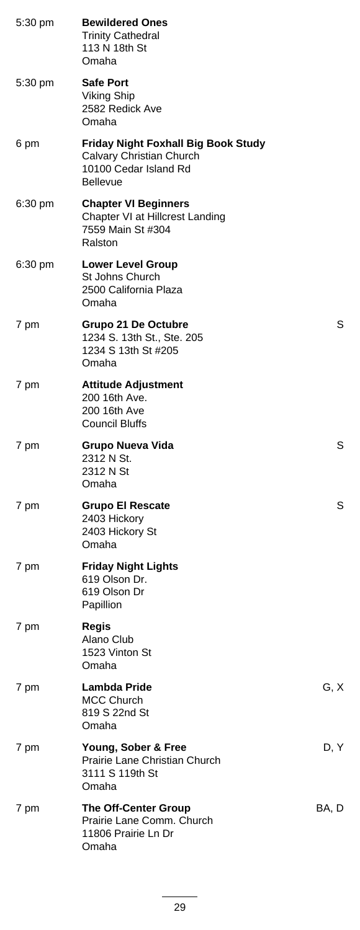| 5:30 pm | <b>Bewildered Ones</b><br><b>Trinity Cathedral</b><br>113 N 18th St<br>Omaha                                |       |
|---------|-------------------------------------------------------------------------------------------------------------|-------|
| 5:30 pm | <b>Safe Port</b><br><b>Viking Ship</b><br>2582 Redick Ave<br>Omaha                                          |       |
| 6 pm    | Friday Night Foxhall Big Book Study<br>Calvary Christian Church<br>10100 Cedar Island Rd<br><b>Bellevue</b> |       |
| 6:30 pm | <b>Chapter VI Beginners</b><br>Chapter VI at Hillcrest Landing<br>7559 Main St #304<br>Ralston              |       |
| 6:30 pm | <b>Lower Level Group</b><br>St Johns Church<br>2500 California Plaza<br>Omaha                               |       |
| 7 pm    | Grupo 21 De Octubre<br>1234 S. 13th St., Ste. 205<br>1234 S 13th St #205<br>Omaha                           | S     |
| 7 pm    | <b>Attitude Adjustment</b><br>200 16th Ave.<br>200 16th Ave<br><b>Council Bluffs</b>                        |       |
| 7 pm    | Grupo Nueva Vida<br>2312 N St.<br>2312 N St<br>Omaha                                                        | S     |
| 7 pm    | <b>Grupo El Rescate</b><br>2403 Hickory<br>2403 Hickory St<br>Omaha                                         | S     |
| 7 pm    | <b>Friday Night Lights</b><br>619 Olson Dr.<br>619 Olson Dr<br>Papillion                                    |       |
| 7 pm    | Regis<br>Alano Club<br>1523 Vinton St<br>Omaha                                                              |       |
| 7 pm    | Lambda Pride<br><b>MCC Church</b><br>819 S 22nd St<br>Omaha                                                 | G, X  |
| 7 pm    | Young, Sober & Free<br>Prairie Lane Christian Church<br>3111 S 119th St<br>Omaha                            | D, Y  |
| 7 pm    | <b>The Off-Center Group</b><br>Prairie Lane Comm. Church<br>11806 Prairie Ln Dr<br>Omaha                    | BA, D |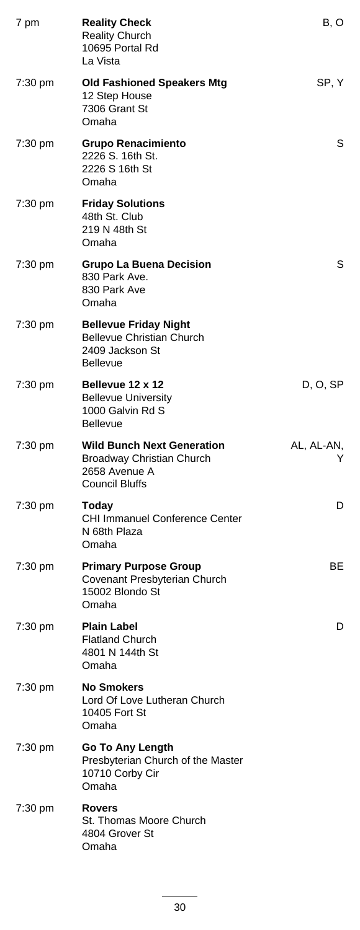| 7 pm              | <b>Reality Check</b><br><b>Reality Church</b><br>10695 Portal Rd<br>La Vista                             | B, O            |
|-------------------|----------------------------------------------------------------------------------------------------------|-----------------|
| $7:30 \text{ pm}$ | <b>Old Fashioned Speakers Mtg</b><br>12 Step House<br>7306 Grant St<br>Omaha                             | SP, Y           |
| 7:30 pm           | <b>Grupo Renacimiento</b><br>2226 S. 16th St.<br>2226 S 16th St<br>Omaha                                 | S               |
| 7:30 pm           | <b>Friday Solutions</b><br>48th St. Club<br>219 N 48th St<br>Omaha                                       |                 |
| 7:30 pm           | <b>Grupo La Buena Decision</b><br>830 Park Ave.<br>830 Park Ave<br>Omaha                                 | S               |
| 7:30 pm           | <b>Bellevue Friday Night</b><br><b>Bellevue Christian Church</b><br>2409 Jackson St<br><b>Bellevue</b>   |                 |
| 7:30 pm           | Bellevue 12 x 12<br><b>Bellevue University</b><br>1000 Galvin Rd S<br><b>Bellevue</b>                    | D, O, SP        |
| 7:30 pm           | <b>Wild Bunch Next Generation</b><br>Broadway Christian Church<br>2658 Avenue A<br><b>Council Bluffs</b> | AL, AL-AN,<br>Y |
| $7:30 \text{ pm}$ | <b>Today</b><br><b>CHI Immanuel Conference Center</b><br>N 68th Plaza<br>Omaha                           | D               |
| 7:30 pm           | <b>Primary Purpose Group</b><br>Covenant Presbyterian Church<br>15002 Blondo St<br>Omaha                 | BE.             |
| 7:30 pm           | <b>Plain Label</b><br><b>Flatland Church</b><br>4801 N 144th St<br>Omaha                                 | D               |
| 7:30 pm           | <b>No Smokers</b><br>Lord Of Love Lutheran Church<br>10405 Fort St<br>Omaha                              |                 |
| 7:30 pm           | Go To Any Length<br>Presbyterian Church of the Master<br>10710 Corby Cir<br>Omaha                        |                 |
| 7:30 pm           | <b>Rovers</b><br>St. Thomas Moore Church<br>4804 Grover St<br>Omaha                                      |                 |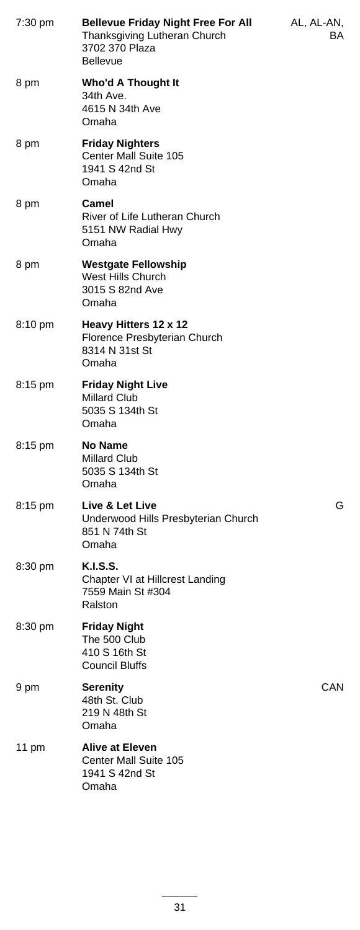| 7:30 pm           | <b>Bellevue Friday Night Free For All</b><br>Thanksgiving Lutheran Church<br>3702 370 Plaza<br><b>Bellevue</b> | AL, AL-AN,<br>BA. |
|-------------------|----------------------------------------------------------------------------------------------------------------|-------------------|
| 8 pm              | Who'd A Thought It<br>34th Ave.<br>4615 N 34th Ave<br>Omaha                                                    |                   |
| 8 pm              | <b>Friday Nighters</b><br>Center Mall Suite 105<br>1941 S 42nd St<br>Omaha                                     |                   |
| 8 pm              | Camel<br>River of Life Lutheran Church<br>5151 NW Radial Hwy<br>Omaha                                          |                   |
| 8 pm              | <b>Westgate Fellowship</b><br>West Hills Church<br>3015 S 82nd Ave<br>Omaha                                    |                   |
| 8:10 pm           | Heavy Hitters 12 x 12<br>Florence Presbyterian Church<br>8314 N 31st St<br>Omaha                               |                   |
| 8:15 pm           | <b>Friday Night Live</b><br><b>Millard Club</b><br>5035 S 134th St<br>Omaha                                    |                   |
| 8:15 pm           | <b>No Name</b><br>Millard Club<br>5035 S 134th St<br>Omaha                                                     |                   |
| 8:15 pm           | Live & Let Live<br>Underwood Hills Presbyterian Church<br>851 N 74th St<br>Omaha                               | G                 |
| 8:30 pm           | K.I.S.S.<br>Chapter VI at Hillcrest Landing<br>7559 Main St #304<br>Ralston                                    |                   |
| $8:30 \text{ pm}$ | <b>Friday Night</b><br>The 500 Club<br>410 S 16th St<br>Council Bluffs                                         |                   |
| 9 pm              | <b>Serenity</b><br>48th St. Club<br>219 N 48th St<br>Omaha                                                     | CAN               |
| 11 pm             | <b>Alive at Eleven</b><br>Center Mall Suite 105<br>1941 S 42nd St<br>Omaha                                     |                   |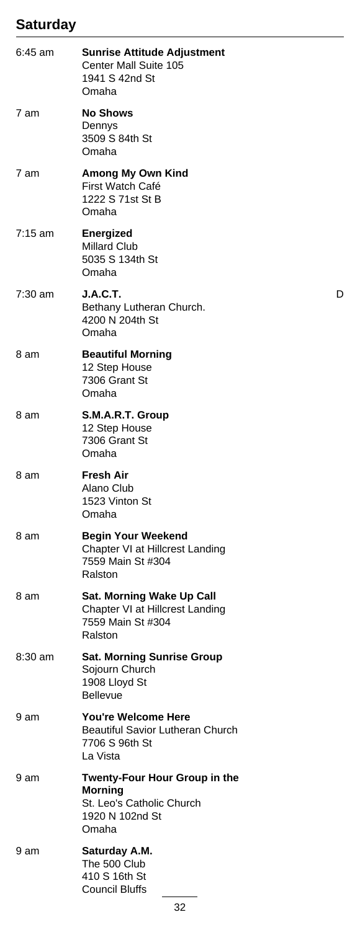#### **Saturday**

| 6:45 am           | <b>Sunrise Attitude Adjustment</b><br>Center Mall Suite 105<br>1941 S 42nd St<br>Omaha                   |   |
|-------------------|----------------------------------------------------------------------------------------------------------|---|
| 7 am              | <b>No Shows</b><br>Dennys<br>3509 S 84th St<br>Omaha                                                     |   |
| 7 am              | Among My Own Kind<br>First Watch Café<br>1222 S 71st St B<br>Omaha                                       |   |
| $7:15 \text{ am}$ | <b>Energized</b><br><b>Millard Club</b><br>5035 S 134th St<br>Omaha                                      |   |
| $7:30$ am         | <b>J.A.C.T.</b><br>Bethany Lutheran Church.<br>4200 N 204th St<br>Omaha                                  | D |
| 8 am              | <b>Beautiful Morning</b><br>12 Step House<br>7306 Grant St<br>Omaha                                      |   |
| 8 am              | S.M.A.R.T. Group<br>12 Step House<br>7306 Grant St<br>Omaha                                              |   |
| 8 am              | <b>Fresh Air</b><br>Alano Club<br>1523 Vinton St<br>Omaha                                                |   |
| 8 am              | <b>Begin Your Weekend</b><br>Chapter VI at Hillcrest Landing<br>7559 Main St #304<br>Ralston             |   |
| 8 am              | Sat. Morning Wake Up Call<br>Chapter VI at Hillcrest Landing<br>7559 Main St #304<br>Ralston             |   |
| 8:30 am           | <b>Sat. Morning Sunrise Group</b><br>Sojourn Church<br>1908 Lloyd St<br><b>Bellevue</b>                  |   |
| 9 am              | <b>You're Welcome Here</b><br><b>Beautiful Savior Lutheran Church</b><br>7706 S 96th St<br>La Vista      |   |
| 9 am              | Twenty-Four Hour Group in the<br><b>Morning</b><br>St. Leo's Catholic Church<br>1920 N 102nd St<br>Omaha |   |
| 9 am              | Saturday A.M.<br>The 500 Club<br>410 S 16th St<br><b>Council Bluffs</b>                                  |   |
|                   | 32                                                                                                       |   |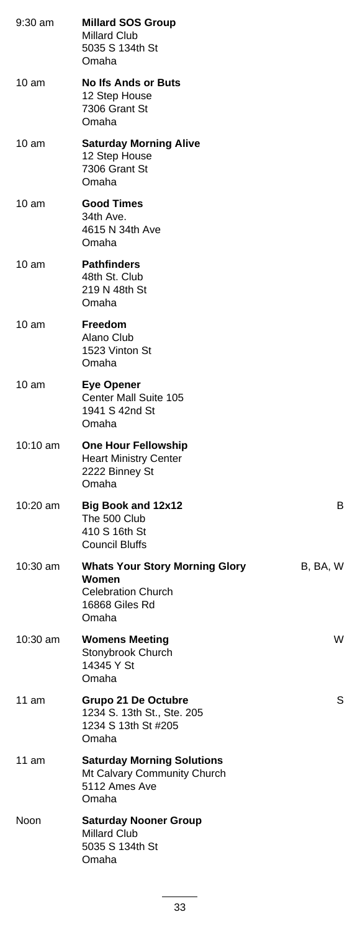| 9:30 am         | <b>Millard SOS Group</b><br><b>Millard Club</b><br>5035 S 134th St<br>Omaha                            |          |
|-----------------|--------------------------------------------------------------------------------------------------------|----------|
| 10 am           | <b>No Ifs Ands or Buts</b><br>12 Step House<br>7306 Grant St<br>Omaha                                  |          |
| $10 \text{ am}$ | <b>Saturday Morning Alive</b><br>12 Step House<br>7306 Grant St<br>Omaha                               |          |
| 10 am           | <b>Good Times</b><br>34th Ave.<br>4615 N 34th Ave<br>Omaha                                             |          |
| 10 am           | <b>Pathfinders</b><br>48th St. Club<br>219 N 48th St<br>Omaha                                          |          |
| 10 am           | <b>Freedom</b><br>Alano Club<br>1523 Vinton St<br>Omaha                                                |          |
| 10 am           | <b>Eye Opener</b><br>Center Mall Suite 105<br>1941 S 42nd St<br>Omaha                                  |          |
| 10:10 am        | <b>One Hour Fellowship</b><br><b>Heart Ministry Center</b><br>2222 Binney St<br>Omaha                  |          |
| 10:20 am        | <b>Big Book and 12x12</b><br>The 500 Club<br>410 S 16th St<br>Council Bluffs                           | B        |
| 10:30 am        | <b>Whats Your Story Morning Glory</b><br>Women<br><b>Celebration Church</b><br>16868 Giles Rd<br>Omaha | B, BA, W |
| 10:30 am        | <b>Womens Meeting</b><br>Stonybrook Church<br>14345 Y St<br>Omaha                                      | W        |
| 11 am           | Grupo 21 De Octubre<br>1234 S. 13th St., Ste. 205<br>1234 S 13th St #205<br>Omaha                      | S        |
| 11 am           | <b>Saturday Morning Solutions</b><br>Mt Calvary Community Church<br>5112 Ames Ave<br>Omaha             |          |
| Noon            | <b>Saturday Nooner Group</b><br><b>Millard Club</b><br>5035 S 134th St<br>Omaha                        |          |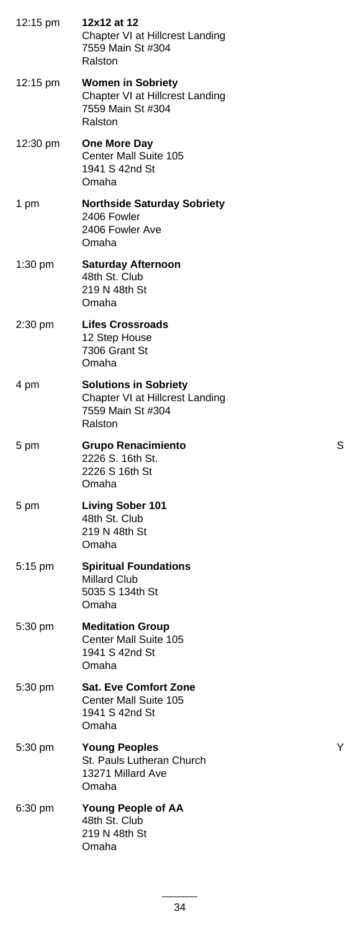| 12:15 pm          | 12x12 at 12<br>Chapter VI at Hillcrest Landing<br>7559 Main St #304<br>Ralston                  |   |
|-------------------|-------------------------------------------------------------------------------------------------|---|
| 12:15 pm          | <b>Women in Sobriety</b><br>Chapter VI at Hillcrest Landing<br>7559 Main St #304<br>Ralston     |   |
| 12:30 pm          | <b>One More Day</b><br>Center Mall Suite 105<br>1941 S 42nd St<br>Omaha                         |   |
| 1 pm              | <b>Northside Saturday Sobriety</b><br>2406 Fowler<br>2406 Fowler Ave<br>Omaha                   |   |
| $1:30 \text{ pm}$ | <b>Saturday Afternoon</b><br>48th St. Club<br>219 N 48th St<br>Omaha                            |   |
| 2:30 pm           | <b>Lifes Crossroads</b><br>12 Step House<br>7306 Grant St<br>Omaha                              |   |
| 4 pm              | <b>Solutions in Sobriety</b><br>Chapter VI at Hillcrest Landing<br>7559 Main St #304<br>Ralston |   |
| 5 pm              | <b>Grupo Renacimiento</b><br>2226 S. 16th St.<br>2226 S 16th St<br>Omaha                        | S |
| 5 pm              | <b>Living Sober 101</b><br>48th St. Club<br>219 N 48th St<br>Omaha                              |   |
| 5:15 pm           | <b>Spiritual Foundations</b><br>Millard Club<br>5035 S 134th St<br>Omaha                        |   |
| 5:30 pm           | <b>Meditation Group</b><br>Center Mall Suite 105<br>1941 S 42nd St<br>Omaha                     |   |
| 5:30 pm           | <b>Sat. Eve Comfort Zone</b><br>Center Mall Suite 105<br>1941 S 42nd St<br>Omaha                |   |
| 5:30 pm           | <b>Young Peoples</b><br>St. Pauls Lutheran Church<br>13271 Millard Ave<br>Omaha                 | Y |
| $6:30$ pm         | <b>Young People of AA</b><br>48th St. Club<br>219 N 48th St<br>Omaha                            |   |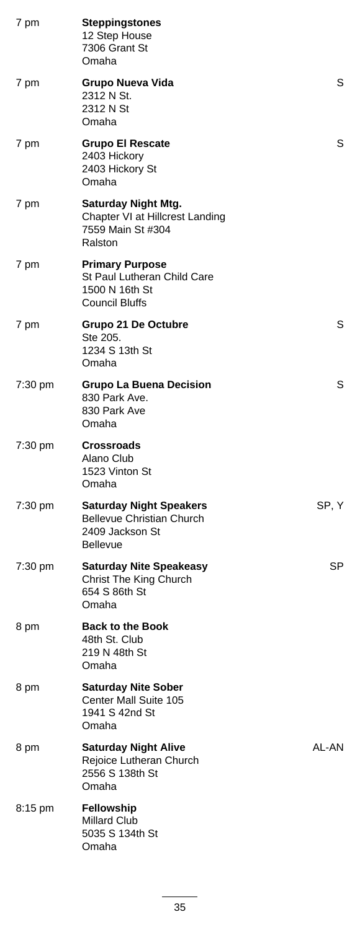| 7 pm      | <b>Steppingstones</b><br>12 Step House<br>7306 Grant St<br>Omaha                                  |       |
|-----------|---------------------------------------------------------------------------------------------------|-------|
| 7 pm      | Grupo Nueva Vida<br>2312 N St.<br>2312 N St<br>Omaha                                              | S     |
| 7 pm      | <b>Grupo El Rescate</b><br>2403 Hickory<br>2403 Hickory St<br>Omaha                               | S     |
| 7 pm      | <b>Saturday Night Mtg.</b><br>Chapter VI at Hillcrest Landing<br>7559 Main St #304<br>Ralston     |       |
| 7 pm      | <b>Primary Purpose</b><br>St Paul Lutheran Child Care<br>1500 N 16th St<br><b>Council Bluffs</b>  |       |
| 7 pm      | Grupo 21 De Octubre<br>Ste 205.<br>1234 S 13th St<br>Omaha                                        | S     |
| 7:30 pm   | <b>Grupo La Buena Decision</b><br>830 Park Ave.<br>830 Park Ave<br>Omaha                          | S     |
| 7:30 pm   | <b>Crossroads</b><br>Alano Club<br>1523 Vinton St<br>Omaha                                        |       |
| 7:30 pm   | <b>Saturday Night Speakers</b><br><b>Bellevue Christian Church</b><br>2409 Jackson St<br>Bellevue | SP, Y |
| $7:30$ pm | <b>Saturday Nite Speakeasy</b><br>Christ The King Church<br>654 S 86th St<br>Omaha                | SP    |
| 8 pm      | <b>Back to the Book</b><br>48th St. Club<br>219 N 48th St<br>Omaha                                |       |
| 8 pm      | <b>Saturday Nite Sober</b><br>Center Mall Suite 105<br>1941 S 42nd St<br>Omaha                    |       |
| 8 pm      | <b>Saturday Night Alive</b><br>Rejoice Lutheran Church<br>2556 S 138th St<br>Omaha                | AL-AN |
| 8:15 pm   | <b>Fellowship</b><br><b>Millard Club</b><br>5035 S 134th St<br>Omaha                              |       |